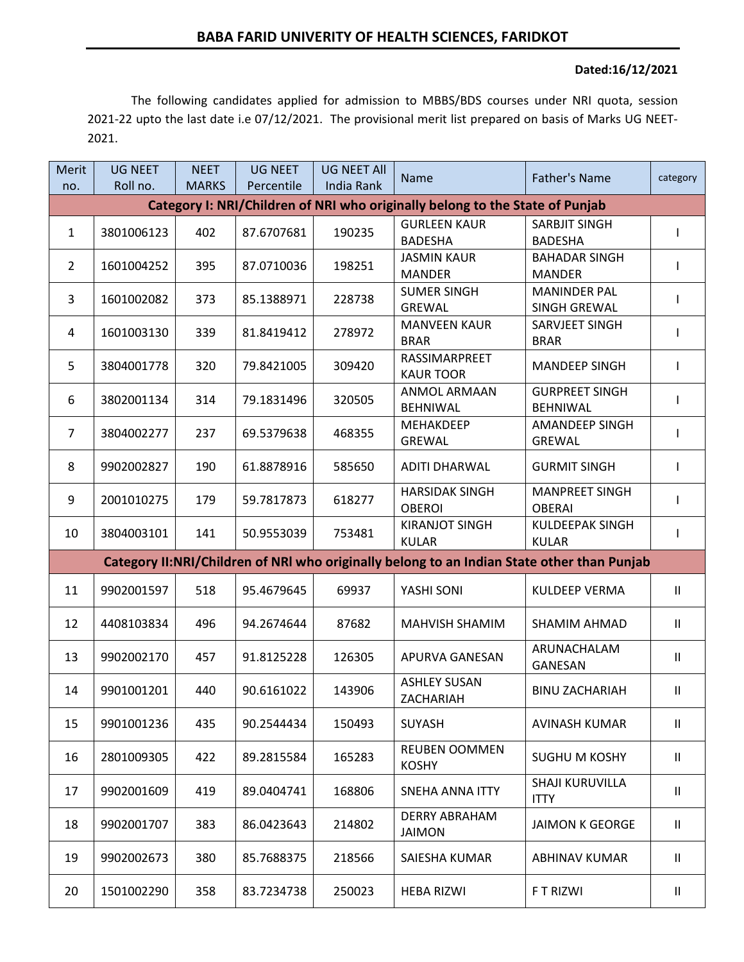## **Dated:16/12/2021**

The following candidates applied for admission to MBBS/BDS courses under NRI quota, session 2021-22 upto the last date i.e 07/12/2021. The provisional merit list prepared on basis of Marks UG NEET-2021.

| Merit                                                                                      | <b>UG NEET</b><br>Roll no. | <b>NEET</b><br><b>MARKS</b> | <b>UG NEET</b><br>Percentile | <b>UG NEET All</b><br>India Rank | <b>Name</b>                            | <b>Father's Name</b>                       | category                   |  |  |  |  |  |
|--------------------------------------------------------------------------------------------|----------------------------|-----------------------------|------------------------------|----------------------------------|----------------------------------------|--------------------------------------------|----------------------------|--|--|--|--|--|
| no.<br>Category I: NRI/Children of NRI who originally belong to the State of Punjab        |                            |                             |                              |                                  |                                        |                                            |                            |  |  |  |  |  |
|                                                                                            |                            |                             |                              |                                  |                                        |                                            |                            |  |  |  |  |  |
| $\mathbf{1}$                                                                               | 3801006123                 | 402                         | 87.6707681                   | 190235                           | <b>GURLEEN KAUR</b><br><b>BADESHA</b>  | <b>SARBJIT SINGH</b><br><b>BADESHA</b>     |                            |  |  |  |  |  |
| $\overline{2}$                                                                             | 1601004252                 | 395                         | 87.0710036                   | 198251                           | <b>JASMIN KAUR</b><br><b>MANDER</b>    | <b>BAHADAR SINGH</b><br><b>MANDER</b>      |                            |  |  |  |  |  |
| 3                                                                                          | 1601002082                 | 373                         | 85.1388971                   | 228738                           | <b>SUMER SINGH</b><br><b>GREWAL</b>    | <b>MANINDER PAL</b><br><b>SINGH GREWAL</b> |                            |  |  |  |  |  |
| 4                                                                                          | 1601003130                 | 339                         | 81.8419412                   | 278972                           | <b>MANVEEN KAUR</b><br><b>BRAR</b>     | SARVJEET SINGH<br><b>BRAR</b>              |                            |  |  |  |  |  |
| 5                                                                                          | 3804001778                 | 320                         | 79.8421005                   | 309420                           | RASSIMARPREET<br><b>KAUR TOOR</b>      | <b>MANDEEP SINGH</b>                       |                            |  |  |  |  |  |
| 6                                                                                          | 3802001134                 | 314                         | 79.1831496                   | 320505                           | <b>ANMOL ARMAAN</b><br><b>BEHNIWAL</b> | <b>GURPREET SINGH</b><br><b>BEHNIWAL</b>   |                            |  |  |  |  |  |
| 7                                                                                          | 3804002277                 | 237                         | 69.5379638                   | 468355                           | MEHAKDEEP<br><b>GREWAL</b>             | <b>AMANDEEP SINGH</b><br><b>GREWAL</b>     |                            |  |  |  |  |  |
| 8                                                                                          | 9902002827                 | 190                         | 61.8878916                   | 585650                           | <b>ADITI DHARWAL</b>                   | <b>GURMIT SINGH</b>                        |                            |  |  |  |  |  |
| 9                                                                                          | 2001010275                 | 179                         | 59.7817873                   | 618277                           | <b>HARSIDAK SINGH</b><br><b>OBEROI</b> | <b>MANPREET SINGH</b><br><b>OBERAI</b>     |                            |  |  |  |  |  |
| 10                                                                                         | 3804003101                 | 141                         | 50.9553039                   | 753481                           | <b>KIRANJOT SINGH</b><br><b>KULAR</b>  | <b>KULDEEPAK SINGH</b><br><b>KULAR</b>     |                            |  |  |  |  |  |
| Category II:NRI/Children of NRI who originally belong to an Indian State other than Punjab |                            |                             |                              |                                  |                                        |                                            |                            |  |  |  |  |  |
| 11                                                                                         | 9902001597                 | 518                         | 95.4679645                   | 69937                            | YASHI SONI                             | <b>KULDEEP VERMA</b>                       | $\mathbf{H}$               |  |  |  |  |  |
| 12                                                                                         | 4408103834                 | 496                         | 94.2674644                   | 87682                            | <b>MAHVISH SHAMIM</b>                  | <b>SHAMIM AHMAD</b>                        | $\mathbf{H}$               |  |  |  |  |  |
| 13                                                                                         | 9902002170                 | 457                         | 91.8125228                   | 126305                           | APURVA GANESAN                         | ARUNACHALAM<br><b>GANESAN</b>              | $\mathbf{II}$              |  |  |  |  |  |
| 14                                                                                         | 9901001201                 | 440                         | 90.6161022                   | 143906                           | <b>ASHLEY SUSAN</b><br>ZACHARIAH       | <b>BINU ZACHARIAH</b>                      | $\ensuremath{\mathsf{II}}$ |  |  |  |  |  |
| 15                                                                                         | 9901001236                 | 435                         | 90.2544434                   | 150493                           | SUYASH                                 | AVINASH KUMAR                              | $\mathbf{II}$              |  |  |  |  |  |
| 16                                                                                         | 2801009305                 | 422                         | 89.2815584                   | 165283                           | <b>REUBEN OOMMEN</b><br><b>KOSHY</b>   | SUGHU M KOSHY                              | $\mathbf{H}$               |  |  |  |  |  |
| 17                                                                                         | 9902001609                 | 419                         | 89.0404741                   | 168806                           | SNEHA ANNA ITTY                        | SHAJI KURUVILLA<br><b>ITTY</b>             | $\mathbf{H}$               |  |  |  |  |  |
| 18                                                                                         | 9902001707                 | 383                         | 86.0423643                   | 214802                           | <b>DERRY ABRAHAM</b><br><b>JAIMON</b>  | <b>JAIMON K GEORGE</b>                     | $\mathbf{H}$               |  |  |  |  |  |
| 19                                                                                         | 9902002673                 | 380                         | 85.7688375                   | 218566                           | SAIESHA KUMAR                          | <b>ABHINAV KUMAR</b>                       | Ш                          |  |  |  |  |  |
| 20                                                                                         | 1501002290                 | 358                         | 83.7234738                   | 250023                           | <b>HEBA RIZWI</b>                      | F T RIZWI                                  | $\mathbf{H}$               |  |  |  |  |  |